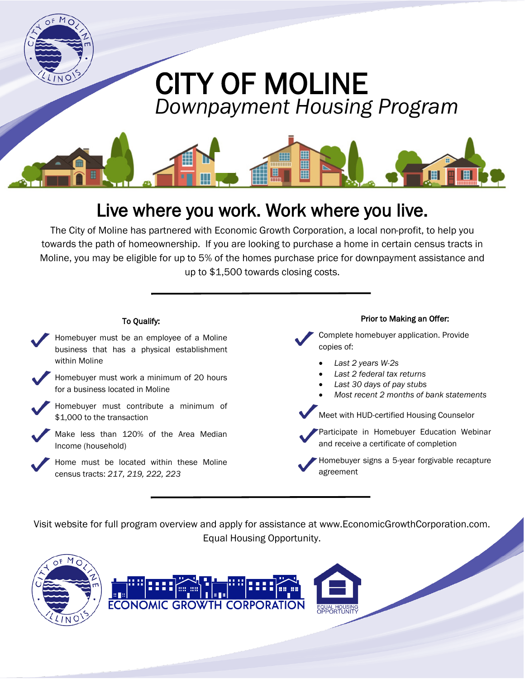

## Live where you work. Work where you live.

The City of Moline has partnered with Economic Growth Corporation, a local non-profit, to help you towards the path of homeownership. If you are looking to purchase a home in certain census tracts in Moline, you may be eligible for up to 5% of the homes purchase price for downpayment assistance and up to \$1,500 towards closing costs.



Visit website for full program overview and apply for assistance at www.EconomicGrowthCorporation.com. Equal Housing Opportunity.